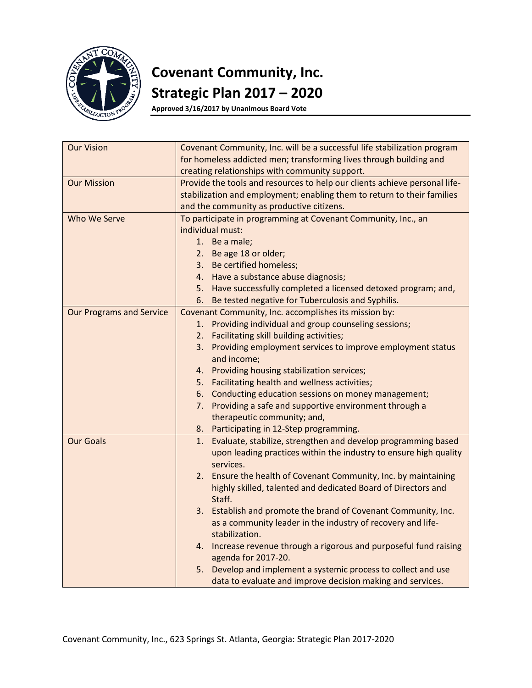

# **Covenant Community, Inc. Strategic Plan 2017 – 2020**

**Approved 3/16/2017 by Unanimous Board Vote**

| <b>Our Vision</b>               | Covenant Community, Inc. will be a successful life stabilization program   |  |
|---------------------------------|----------------------------------------------------------------------------|--|
|                                 | for homeless addicted men; transforming lives through building and         |  |
|                                 | creating relationships with community support.                             |  |
| <b>Our Mission</b>              | Provide the tools and resources to help our clients achieve personal life- |  |
|                                 | stabilization and employment; enabling them to return to their families    |  |
|                                 | and the community as productive citizens.                                  |  |
| Who We Serve                    | To participate in programming at Covenant Community, Inc., an              |  |
|                                 | individual must:                                                           |  |
|                                 | 1. Be a male;                                                              |  |
|                                 | 2. Be age 18 or older;                                                     |  |
|                                 | 3. Be certified homeless;                                                  |  |
|                                 | 4. Have a substance abuse diagnosis;                                       |  |
|                                 | 5. Have successfully completed a licensed detoxed program; and,            |  |
|                                 | Be tested negative for Tuberculosis and Syphilis.<br>6.                    |  |
| <b>Our Programs and Service</b> | Covenant Community, Inc. accomplishes its mission by:                      |  |
|                                 | 1. Providing individual and group counseling sessions;                     |  |
|                                 | 2. Facilitating skill building activities;                                 |  |
|                                 | Providing employment services to improve employment status<br>3.           |  |
|                                 | and income;                                                                |  |
|                                 | Providing housing stabilization services;<br>4.                            |  |
|                                 | Facilitating health and wellness activities;<br>5.                         |  |
|                                 | Conducting education sessions on money management;<br>6.                   |  |
|                                 | Providing a safe and supportive environment through a<br>7.                |  |
|                                 | therapeutic community; and,                                                |  |
|                                 | 8. Participating in 12-Step programming.                                   |  |
| <b>Our Goals</b>                | Evaluate, stabilize, strengthen and develop programming based<br>1.        |  |
|                                 | upon leading practices within the industry to ensure high quality          |  |
|                                 | services.                                                                  |  |
|                                 | 2. Ensure the health of Covenant Community, Inc. by maintaining            |  |
|                                 | highly skilled, talented and dedicated Board of Directors and              |  |
|                                 | Staff.                                                                     |  |
|                                 | 3. Establish and promote the brand of Covenant Community, Inc.             |  |
|                                 | as a community leader in the industry of recovery and life-                |  |
|                                 | stabilization.                                                             |  |
|                                 | 4. Increase revenue through a rigorous and purposeful fund raising         |  |
|                                 | agenda for 2017-20.                                                        |  |
|                                 | Develop and implement a systemic process to collect and use<br>5.          |  |
|                                 | data to evaluate and improve decision making and services.                 |  |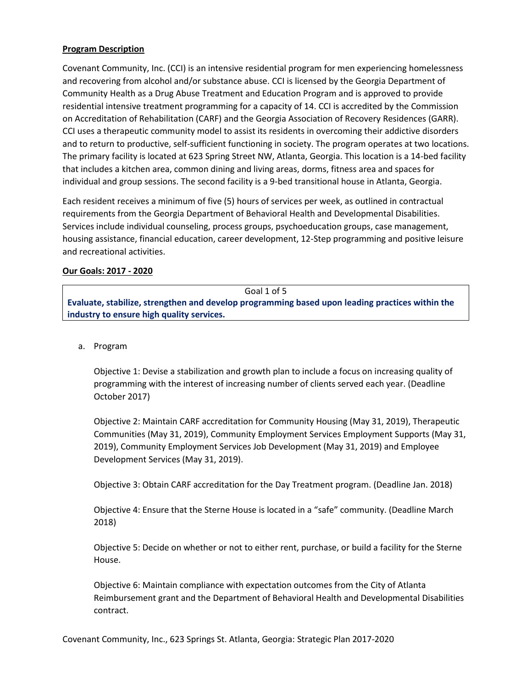## **Program Description**

Covenant Community, Inc. (CCI) is an intensive residential program for men experiencing homelessness and recovering from alcohol and/or substance abuse. CCI is licensed by the Georgia Department of Community Health as a Drug Abuse Treatment and Education Program and is approved to provide residential intensive treatment programming for a capacity of 14. CCI is accredited by the Commission on Accreditation of Rehabilitation (CARF) and the Georgia Association of Recovery Residences (GARR). CCI uses a therapeutic community model to assist its residents in overcoming their addictive disorders and to return to productive, self-sufficient functioning in society. The program operates at two locations. The primary facility is located at 623 Spring Street NW, Atlanta, Georgia. This location is a 14-bed facility that includes a kitchen area, common dining and living areas, dorms, fitness area and spaces for individual and group sessions. The second facility is a 9-bed transitional house in Atlanta, Georgia.

Each resident receives a minimum of five (5) hours of services per week, as outlined in contractual requirements from the Georgia Department of Behavioral Health and Developmental Disabilities. Services include individual counseling, process groups, psychoeducation groups, case management, housing assistance, financial education, career development, 12-Step programming and positive leisure and recreational activities.

## **Our Goals: 2017 - 2020**

| Goal 1 of 5                                                                                     |  |
|-------------------------------------------------------------------------------------------------|--|
| Evaluate, stabilize, strengthen and develop programming based upon leading practices within the |  |
| industry to ensure high quality services.                                                       |  |

a. Program

Objective 1: Devise a stabilization and growth plan to include a focus on increasing quality of programming with the interest of increasing number of clients served each year. (Deadline October 2017)

Objective 2: Maintain CARF accreditation for Community Housing (May 31, 2019), Therapeutic Communities (May 31, 2019), Community Employment Services Employment Supports (May 31, 2019), Community Employment Services Job Development (May 31, 2019) and Employee Development Services (May 31, 2019).

Objective 3: Obtain CARF accreditation for the Day Treatment program. (Deadline Jan. 2018)

Objective 4: Ensure that the Sterne House is located in a "safe" community. (Deadline March 2018)

Objective 5: Decide on whether or not to either rent, purchase, or build a facility for the Sterne House.

Objective 6: Maintain compliance with expectation outcomes from the City of Atlanta Reimbursement grant and the Department of Behavioral Health and Developmental Disabilities contract.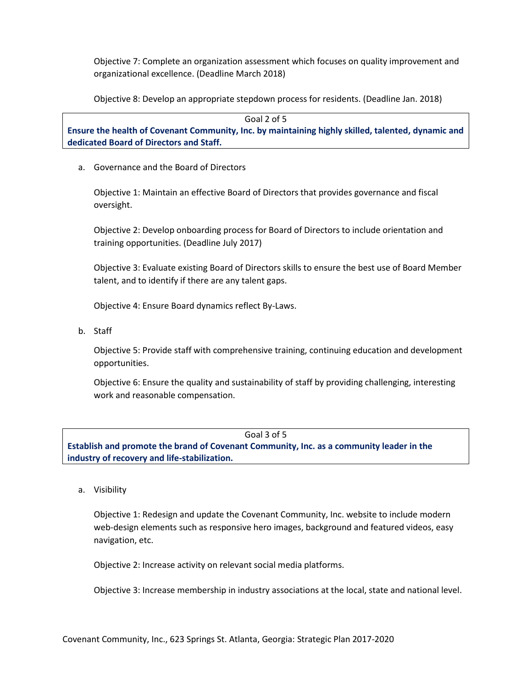Objective 7: Complete an organization assessment which focuses on quality improvement and organizational excellence. (Deadline March 2018)

Objective 8: Develop an appropriate stepdown process for residents. (Deadline Jan. 2018)

Goal 2 of 5

**Ensure the health of Covenant Community, Inc. by maintaining highly skilled, talented, dynamic and dedicated Board of Directors and Staff.** 

a. Governance and the Board of Directors

Objective 1: Maintain an effective Board of Directors that provides governance and fiscal oversight.

Objective 2: Develop onboarding process for Board of Directors to include orientation and training opportunities. (Deadline July 2017)

Objective 3: Evaluate existing Board of Directors skills to ensure the best use of Board Member talent, and to identify if there are any talent gaps.

Objective 4: Ensure Board dynamics reflect By-Laws.

b. Staff

Objective 5: Provide staff with comprehensive training, continuing education and development opportunities.

Objective 6: Ensure the quality and sustainability of staff by providing challenging, interesting work and reasonable compensation.

#### Goal 3 of 5

**Establish and promote the brand of Covenant Community, Inc. as a community leader in the industry of recovery and life-stabilization.** 

a. Visibility

Objective 1: Redesign and update the Covenant Community, Inc. website to include modern web-design elements such as responsive hero images, background and featured videos, easy navigation, etc.

Objective 2: Increase activity on relevant social media platforms.

Objective 3: Increase membership in industry associations at the local, state and national level.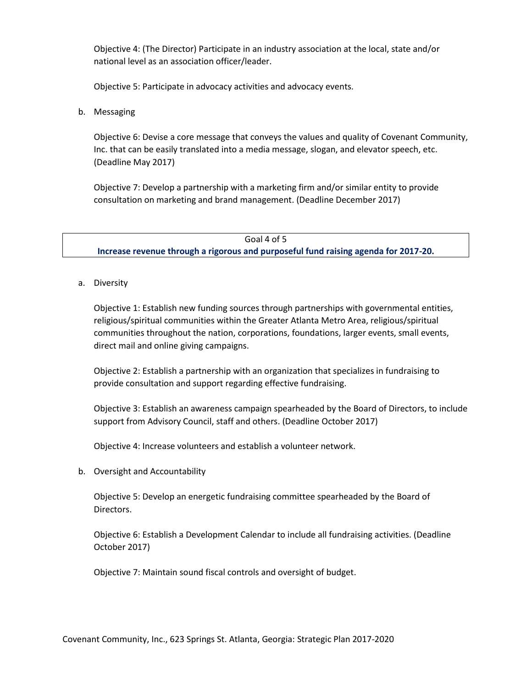Objective 4: (The Director) Participate in an industry association at the local, state and/or national level as an association officer/leader.

Objective 5: Participate in advocacy activities and advocacy events.

b. Messaging

Objective 6: Devise a core message that conveys the values and quality of Covenant Community, Inc. that can be easily translated into a media message, slogan, and elevator speech, etc. (Deadline May 2017)

Objective 7: Develop a partnership with a marketing firm and/or similar entity to provide consultation on marketing and brand management. (Deadline December 2017)

Goal 4 of 5 **Increase revenue through a rigorous and purposeful fund raising agenda for 2017-20.**

a. Diversity

Objective 1: Establish new funding sources through partnerships with governmental entities, religious/spiritual communities within the Greater Atlanta Metro Area, religious/spiritual communities throughout the nation, corporations, foundations, larger events, small events, direct mail and online giving campaigns.

Objective 2: Establish a partnership with an organization that specializes in fundraising to provide consultation and support regarding effective fundraising.

Objective 3: Establish an awareness campaign spearheaded by the Board of Directors, to include support from Advisory Council, staff and others. (Deadline October 2017)

Objective 4: Increase volunteers and establish a volunteer network.

b. Oversight and Accountability

Objective 5: Develop an energetic fundraising committee spearheaded by the Board of Directors.

Objective 6: Establish a Development Calendar to include all fundraising activities. (Deadline October 2017)

Objective 7: Maintain sound fiscal controls and oversight of budget.